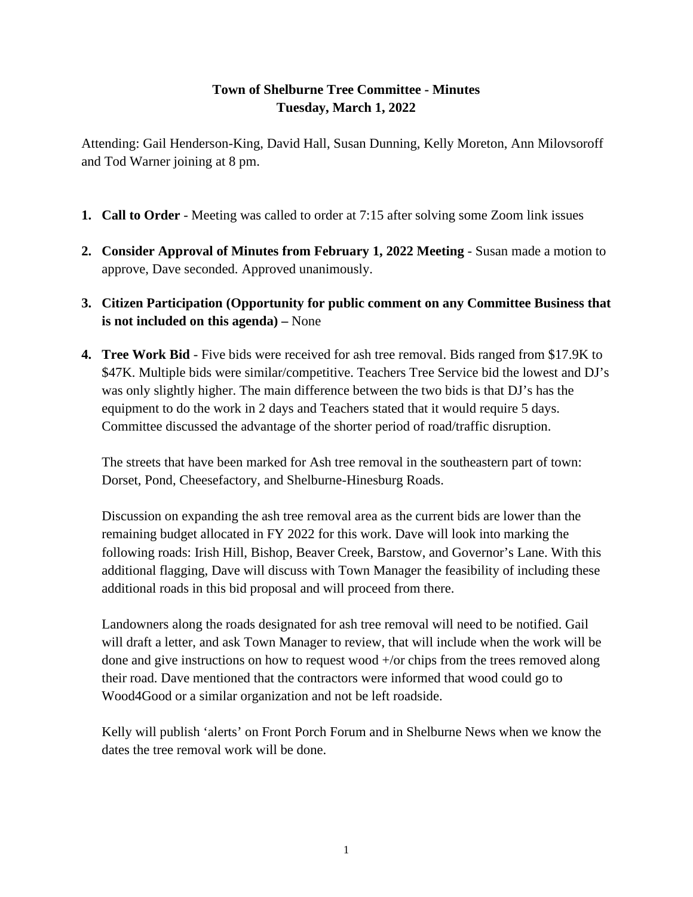## **Town of Shelburne Tree Committee - Minutes Tuesday, March 1, 2022**

Attending: Gail Henderson-King, David Hall, Susan Dunning, Kelly Moreton, Ann Milovsoroff and Tod Warner joining at 8 pm.

- **1. Call to Order** Meeting was called to order at 7:15 after solving some Zoom link issues
- **2. Consider Approval of Minutes from February 1, 2022 Meeting** Susan made a motion to approve, Dave seconded. Approved unanimously.
- **3. Citizen Participation (Opportunity for public comment on any Committee Business that is not included on this agenda) –** None
- **4. Tree Work Bid** Five bids were received for ash tree removal. Bids ranged from \$17.9K to \$47K. Multiple bids were similar/competitive. Teachers Tree Service bid the lowest and DJ's was only slightly higher. The main difference between the two bids is that DJ's has the equipment to do the work in 2 days and Teachers stated that it would require 5 days. Committee discussed the advantage of the shorter period of road/traffic disruption.

The streets that have been marked for Ash tree removal in the southeastern part of town: Dorset, Pond, Cheesefactory, and Shelburne-Hinesburg Roads.

Discussion on expanding the ash tree removal area as the current bids are lower than the remaining budget allocated in FY 2022 for this work. Dave will look into marking the following roads: Irish Hill, Bishop, Beaver Creek, Barstow, and Governor's Lane. With this additional flagging, Dave will discuss with Town Manager the feasibility of including these additional roads in this bid proposal and will proceed from there.

Landowners along the roads designated for ash tree removal will need to be notified. Gail will draft a letter, and ask Town Manager to review, that will include when the work will be done and give instructions on how to request wood +/or chips from the trees removed along their road. Dave mentioned that the contractors were informed that wood could go to Wood4Good or a similar organization and not be left roadside.

Kelly will publish 'alerts' on Front Porch Forum and in Shelburne News when we know the dates the tree removal work will be done.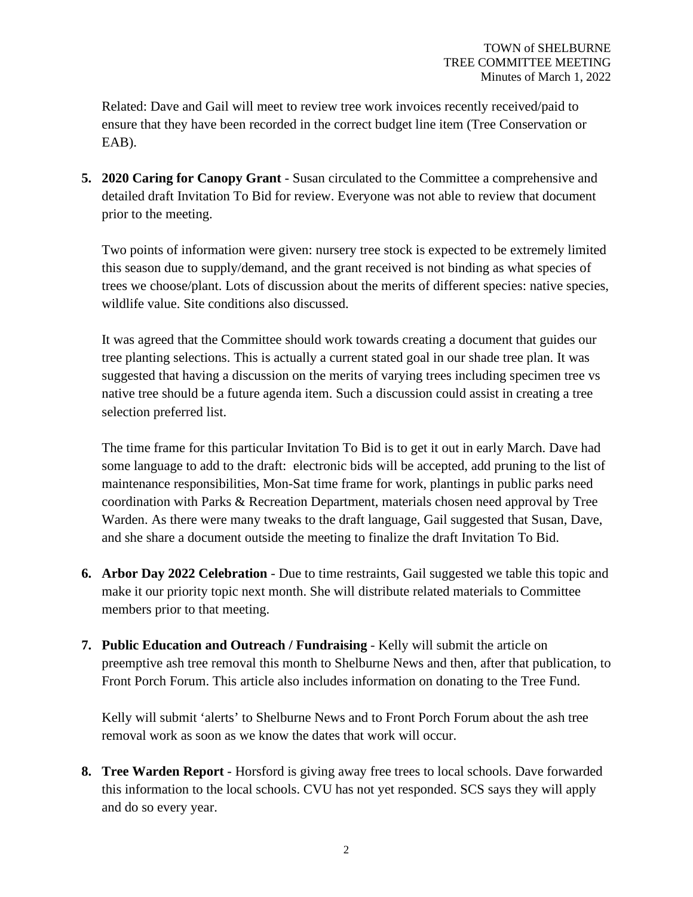Related: Dave and Gail will meet to review tree work invoices recently received/paid to ensure that they have been recorded in the correct budget line item (Tree Conservation or EAB).

**5. 2020 Caring for Canopy Grant** - Susan circulated to the Committee a comprehensive and detailed draft Invitation To Bid for review. Everyone was not able to review that document prior to the meeting.

Two points of information were given: nursery tree stock is expected to be extremely limited this season due to supply/demand, and the grant received is not binding as what species of trees we choose/plant. Lots of discussion about the merits of different species: native species, wildlife value. Site conditions also discussed.

It was agreed that the Committee should work towards creating a document that guides our tree planting selections. This is actually a current stated goal in our shade tree plan. It was suggested that having a discussion on the merits of varying trees including specimen tree vs native tree should be a future agenda item. Such a discussion could assist in creating a tree selection preferred list.

The time frame for this particular Invitation To Bid is to get it out in early March. Dave had some language to add to the draft: electronic bids will be accepted, add pruning to the list of maintenance responsibilities, Mon-Sat time frame for work, plantings in public parks need coordination with Parks & Recreation Department, materials chosen need approval by Tree Warden. As there were many tweaks to the draft language, Gail suggested that Susan, Dave, and she share a document outside the meeting to finalize the draft Invitation To Bid.

- **6. Arbor Day 2022 Celebration** Due to time restraints, Gail suggested we table this topic and make it our priority topic next month. She will distribute related materials to Committee members prior to that meeting.
- **7. Public Education and Outreach / Fundraising** Kelly will submit the article on preemptive ash tree removal this month to Shelburne News and then, after that publication, to Front Porch Forum. This article also includes information on donating to the Tree Fund.

Kelly will submit 'alerts' to Shelburne News and to Front Porch Forum about the ash tree removal work as soon as we know the dates that work will occur.

**8. Tree Warden Report** - Horsford is giving away free trees to local schools. Dave forwarded this information to the local schools. CVU has not yet responded. SCS says they will apply and do so every year.